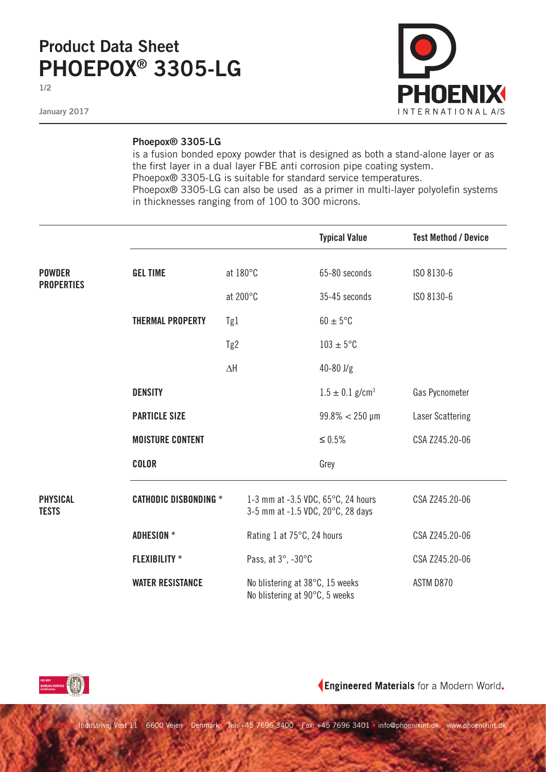## **Product Data Sheet PHOEPOX® 3305-LG**

**1/2**

**January 2017**



## **Phoepox® 3305-LG**

is a fusion bonded epoxy powder that is designed as both a stand-alone layer or as the first layer in a dual layer FBE anti corrosion pipe coating system. Phoepox® 3305-LG is suitable for standard service temperatures. Phoepox® 3305-LG can also be used as a primer in multi-layer polyolefin systems in thicknesses ranging from of 100 to 300 microns.

|                                 |                              |            |                                                                         | <b>Typical Value</b>            | <b>Test Method / Device</b> |
|---------------------------------|------------------------------|------------|-------------------------------------------------------------------------|---------------------------------|-----------------------------|
| <b>POWDER</b>                   | <b>GEL TIME</b>              | at 180°C   |                                                                         | 65-80 seconds                   | ISO 8130-6                  |
| <b>PROPERTIES</b>               |                              | at 200°C   |                                                                         | 35-45 seconds                   | ISO 8130-6                  |
|                                 | <b>THERMAL PROPERTY</b>      | Tg1        |                                                                         | $60 \pm 5^{\circ}$ C            |                             |
|                                 |                              | Tg2        |                                                                         | $103 \pm 5$ °C                  |                             |
|                                 |                              | $\Delta H$ |                                                                         | $40 - 80$ J/g                   |                             |
|                                 | <b>DENSITY</b>               |            |                                                                         | $1.5 \pm 0.1$ g/cm <sup>3</sup> | Gas Pycnometer              |
|                                 | <b>PARTICLE SIZE</b>         |            |                                                                         | $99.8\% < 250 \,\mu m$          | <b>Laser Scattering</b>     |
|                                 | <b>MOISTURE CONTENT</b>      |            |                                                                         | $\leq 0.5\%$                    | CSA Z245.20-06              |
|                                 | <b>COLOR</b>                 |            |                                                                         | Grey                            |                             |
| <b>PHYSICAL</b><br><b>TESTS</b> | <b>CATHODIC DISBONDING *</b> |            | 1-3 mm at -3.5 VDC, 65°C, 24 hours<br>3-5 mm at -1.5 VDC, 20°C, 28 days |                                 | CSA Z245.20-06              |
|                                 | <b>ADHESION</b> *            |            | Rating 1 at 75°C, 24 hours                                              |                                 | CSA Z245.20-06              |
|                                 | <b>FLEXIBILITY *</b>         |            | Pass, at 3°, -30°C                                                      |                                 | CSA Z245.20-06              |
|                                 | <b>WATER RESISTANCE</b>      |            | No blistering at 38°C, 15 weeks<br>No blistering at 90°C, 5 weeks       |                                 | ASTM D870                   |



Engineered Materials for a Modern World.